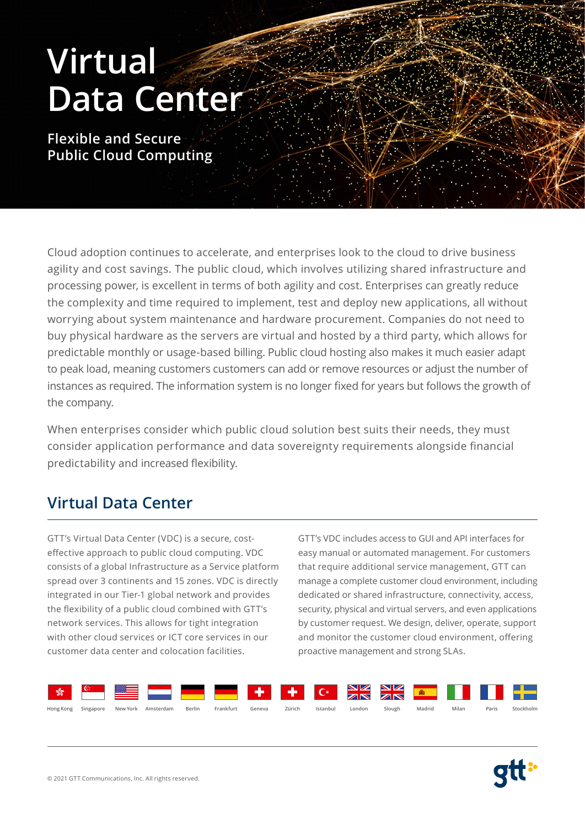# **Virtual Data Center**

**Flexible and Secure Public Cloud Computing**

Cloud adoption continues to accelerate, and enterprises look to the cloud to drive business agility and cost savings. The public cloud, which involves utilizing shared infrastructure and processing power, is excellent in terms of both agility and cost. Enterprises can greatly reduce the complexity and time required to implement, test and deploy new applications, all without worrying about system maintenance and hardware procurement. Companies do not need to buy physical hardware as the servers are virtual and hosted by a third party, which allows for predictable monthly or usage-based billing. Public cloud hosting also makes it much easier adapt to peak load, meaning customers customers can add or remove resources or adjust the number of instances as required. The information system is no longer fixed for years but follows the growth of the company.

When enterprises consider which public cloud solution best suits their needs, they must consider application performance and data sovereignty requirements alongside financial predictability and increased flexibility.

## **Virtual Data Center**

GTT's Virtual Data Center (VDC) is a secure, costeffective approach to public cloud computing. VDC consists of a global Infrastructure as a Service platform spread over 3 continents and 15 zones. VDC is directly integrated in our Tier-1 global network and provides the flexibility of a public cloud combined with GTT's network services. This allows for tight integration with other cloud services or ICT core services in our customer data center and colocation facilities.

GTT's VDC includes access to GUI and API interfaces for easy manual or automated management. For customers that require additional service management, GTT can manage a complete customer cloud environment, including dedicated or shared infrastructure, connectivity, access, security, physical and virtual servers, and even applications by customer request. We design, deliver, operate, support and monitor the customer cloud environment, offering proactive management and strong SLAs.